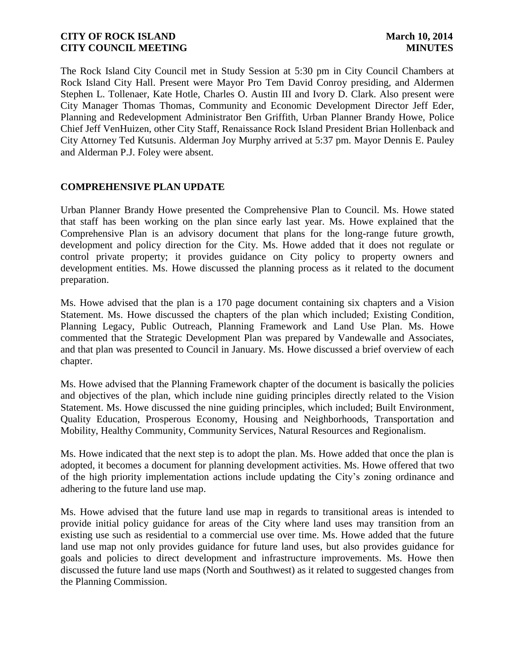The Rock Island City Council met in Study Session at 5:30 pm in City Council Chambers at Rock Island City Hall. Present were Mayor Pro Tem David Conroy presiding, and Aldermen Stephen L. Tollenaer, Kate Hotle, Charles O. Austin III and Ivory D. Clark. Also present were City Manager Thomas Thomas, Community and Economic Development Director Jeff Eder, Planning and Redevelopment Administrator Ben Griffith, Urban Planner Brandy Howe, Police Chief Jeff VenHuizen, other City Staff, Renaissance Rock Island President Brian Hollenback and City Attorney Ted Kutsunis. Alderman Joy Murphy arrived at 5:37 pm. Mayor Dennis E. Pauley and Alderman P.J. Foley were absent.

### **COMPREHENSIVE PLAN UPDATE**

Urban Planner Brandy Howe presented the Comprehensive Plan to Council. Ms. Howe stated that staff has been working on the plan since early last year. Ms. Howe explained that the Comprehensive Plan is an advisory document that plans for the long-range future growth, development and policy direction for the City. Ms. Howe added that it does not regulate or control private property; it provides guidance on City policy to property owners and development entities. Ms. Howe discussed the planning process as it related to the document preparation.

Ms. Howe advised that the plan is a 170 page document containing six chapters and a Vision Statement. Ms. Howe discussed the chapters of the plan which included; Existing Condition, Planning Legacy, Public Outreach, Planning Framework and Land Use Plan. Ms. Howe commented that the Strategic Development Plan was prepared by Vandewalle and Associates, and that plan was presented to Council in January. Ms. Howe discussed a brief overview of each chapter.

Ms. Howe advised that the Planning Framework chapter of the document is basically the policies and objectives of the plan, which include nine guiding principles directly related to the Vision Statement. Ms. Howe discussed the nine guiding principles, which included; Built Environment, Quality Education, Prosperous Economy, Housing and Neighborhoods, Transportation and Mobility, Healthy Community, Community Services, Natural Resources and Regionalism.

Ms. Howe indicated that the next step is to adopt the plan. Ms. Howe added that once the plan is adopted, it becomes a document for planning development activities. Ms. Howe offered that two of the high priority implementation actions include updating the City's zoning ordinance and adhering to the future land use map.

Ms. Howe advised that the future land use map in regards to transitional areas is intended to provide initial policy guidance for areas of the City where land uses may transition from an existing use such as residential to a commercial use over time. Ms. Howe added that the future land use map not only provides guidance for future land uses, but also provides guidance for goals and policies to direct development and infrastructure improvements. Ms. Howe then discussed the future land use maps (North and Southwest) as it related to suggested changes from the Planning Commission.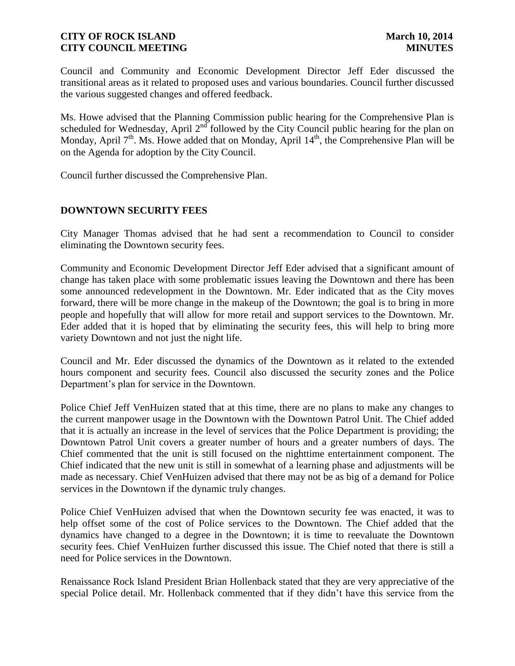Council and Community and Economic Development Director Jeff Eder discussed the transitional areas as it related to proposed uses and various boundaries. Council further discussed the various suggested changes and offered feedback.

Ms. Howe advised that the Planning Commission public hearing for the Comprehensive Plan is scheduled for Wednesday, April 2<sup>nd</sup> followed by the City Council public hearing for the plan on Monday, April  $7<sup>th</sup>$ . Ms. Howe added that on Monday, April  $14<sup>th</sup>$ , the Comprehensive Plan will be on the Agenda for adoption by the City Council.

Council further discussed the Comprehensive Plan.

# **DOWNTOWN SECURITY FEES**

City Manager Thomas advised that he had sent a recommendation to Council to consider eliminating the Downtown security fees.

Community and Economic Development Director Jeff Eder advised that a significant amount of change has taken place with some problematic issues leaving the Downtown and there has been some announced redevelopment in the Downtown. Mr. Eder indicated that as the City moves forward, there will be more change in the makeup of the Downtown; the goal is to bring in more people and hopefully that will allow for more retail and support services to the Downtown. Mr. Eder added that it is hoped that by eliminating the security fees, this will help to bring more variety Downtown and not just the night life.

Council and Mr. Eder discussed the dynamics of the Downtown as it related to the extended hours component and security fees. Council also discussed the security zones and the Police Department's plan for service in the Downtown.

Police Chief Jeff VenHuizen stated that at this time, there are no plans to make any changes to the current manpower usage in the Downtown with the Downtown Patrol Unit. The Chief added that it is actually an increase in the level of services that the Police Department is providing; the Downtown Patrol Unit covers a greater number of hours and a greater numbers of days. The Chief commented that the unit is still focused on the nighttime entertainment component. The Chief indicated that the new unit is still in somewhat of a learning phase and adjustments will be made as necessary. Chief VenHuizen advised that there may not be as big of a demand for Police services in the Downtown if the dynamic truly changes.

Police Chief VenHuizen advised that when the Downtown security fee was enacted, it was to help offset some of the cost of Police services to the Downtown. The Chief added that the dynamics have changed to a degree in the Downtown; it is time to reevaluate the Downtown security fees. Chief VenHuizen further discussed this issue. The Chief noted that there is still a need for Police services in the Downtown.

Renaissance Rock Island President Brian Hollenback stated that they are very appreciative of the special Police detail. Mr. Hollenback commented that if they didn't have this service from the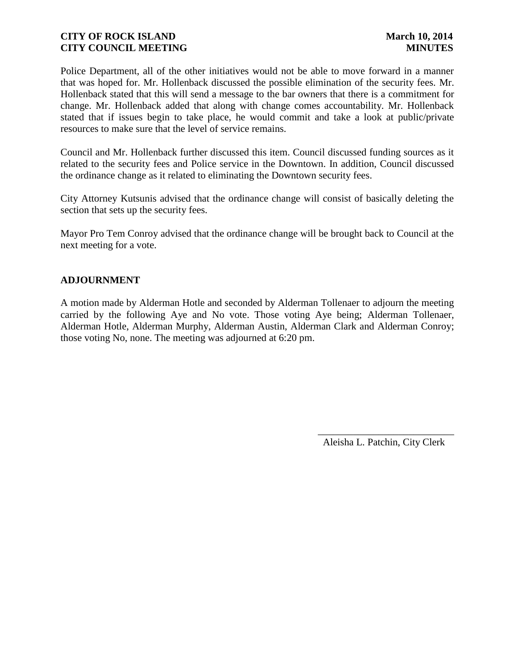Police Department, all of the other initiatives would not be able to move forward in a manner that was hoped for. Mr. Hollenback discussed the possible elimination of the security fees. Mr. Hollenback stated that this will send a message to the bar owners that there is a commitment for change. Mr. Hollenback added that along with change comes accountability. Mr. Hollenback stated that if issues begin to take place, he would commit and take a look at public/private resources to make sure that the level of service remains.

Council and Mr. Hollenback further discussed this item. Council discussed funding sources as it related to the security fees and Police service in the Downtown. In addition, Council discussed the ordinance change as it related to eliminating the Downtown security fees.

City Attorney Kutsunis advised that the ordinance change will consist of basically deleting the section that sets up the security fees.

Mayor Pro Tem Conroy advised that the ordinance change will be brought back to Council at the next meeting for a vote.

# **ADJOURNMENT**

A motion made by Alderman Hotle and seconded by Alderman Tollenaer to adjourn the meeting carried by the following Aye and No vote. Those voting Aye being; Alderman Tollenaer, Alderman Hotle, Alderman Murphy, Alderman Austin, Alderman Clark and Alderman Conroy; those voting No, none. The meeting was adjourned at 6:20 pm.

> \_\_\_\_\_\_\_\_\_\_\_\_\_\_\_\_\_\_\_\_\_\_\_\_\_\_\_ Aleisha L. Patchin, City Clerk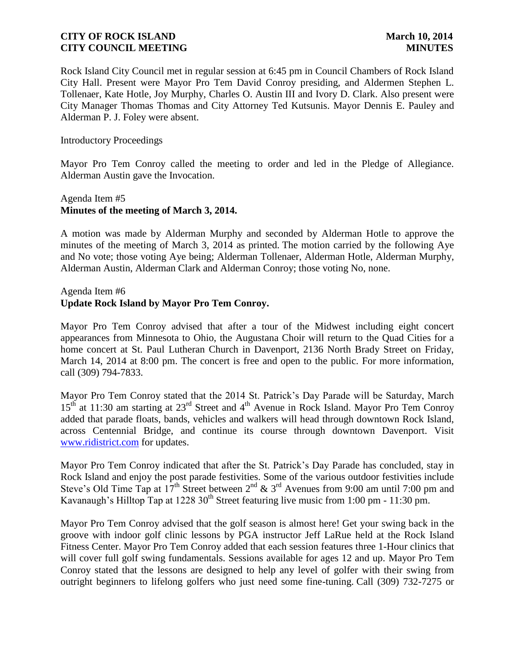Rock Island City Council met in regular session at 6:45 pm in Council Chambers of Rock Island City Hall. Present were Mayor Pro Tem David Conroy presiding, and Aldermen Stephen L. Tollenaer, Kate Hotle, Joy Murphy, Charles O. Austin III and Ivory D. Clark. Also present were City Manager Thomas Thomas and City Attorney Ted Kutsunis. Mayor Dennis E. Pauley and Alderman P. J. Foley were absent.

#### Introductory Proceedings

Mayor Pro Tem Conroy called the meeting to order and led in the Pledge of Allegiance. Alderman Austin gave the Invocation.

# Agenda Item #5 **Minutes of the meeting of March 3, 2014.**

A motion was made by Alderman Murphy and seconded by Alderman Hotle to approve the minutes of the meeting of March 3, 2014 as printed. The motion carried by the following Aye and No vote; those voting Aye being; Alderman Tollenaer, Alderman Hotle, Alderman Murphy, Alderman Austin, Alderman Clark and Alderman Conroy; those voting No, none.

#### Agenda Item #6

# **Update Rock Island by Mayor Pro Tem Conroy.**

Mayor Pro Tem Conroy advised that after a tour of the Midwest including eight concert appearances from Minnesota to Ohio, the Augustana Choir will return to the Quad Cities for a home concert at St. Paul Lutheran Church in Davenport, 2136 North Brady Street on Friday, March 14, 2014 at 8:00 pm. The concert is free and open to the public. For more information, call (309) 794-7833.

Mayor Pro Tem Conroy stated that the 2014 St. Patrick's Day Parade will be Saturday, March 15<sup>th</sup> at 11:30 am starting at 23<sup>rd</sup> Street and 4<sup>th</sup> Avenue in Rock Island. Mayor Pro Tem Conroy added that parade floats, bands, vehicles and walkers will head through downtown Rock Island, across Centennial Bridge, and continue its course through downtown Davenport. Visit [www.ridistrict.com](http://www.ridistrict.com/) for updates.

Mayor Pro Tem Conroy indicated that after the St. Patrick's Day Parade has concluded, stay in Rock Island and enjoy the post parade festivities. Some of the various outdoor festivities include Steve's Old Time Tap at  $17<sup>th</sup>$  Street between  $2<sup>nd</sup>$  &  $3<sup>rd</sup>$  Avenues from 9:00 am until 7:00 pm and Kavanaugh's Hilltop Tap at 1228  $30<sup>th</sup>$  Street featuring live music from 1:00 pm - 11:30 pm.

Mayor Pro Tem Conroy advised that the golf season is almost here! Get your swing back in the groove with indoor golf clinic lessons by PGA instructor Jeff LaRue held at the Rock Island Fitness Center. Mayor Pro Tem Conroy added that each session features three 1-Hour clinics that will cover full golf swing fundamentals. Sessions available for ages 12 and up. Mayor Pro Tem Conroy stated that the lessons are designed to help any level of golfer with their swing from outright beginners to lifelong golfers who just need some fine-tuning. Call (309) 732-7275 or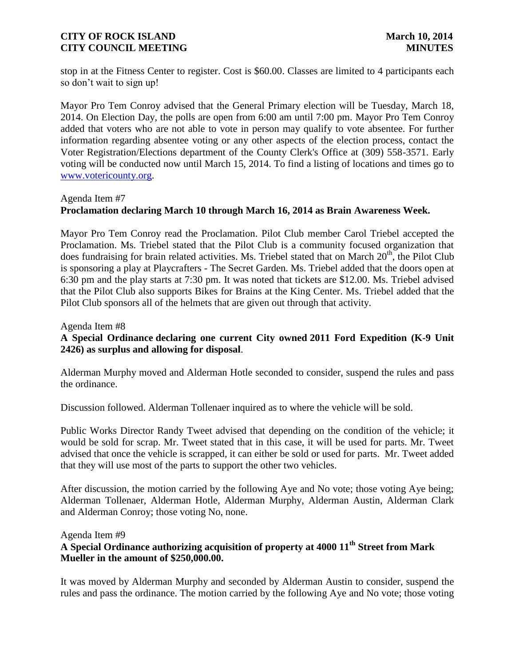stop in at the Fitness Center to register. Cost is \$60.00. Classes are limited to 4 participants each so don't wait to sign up!

Mayor Pro Tem Conroy advised that the General Primary election will be Tuesday, March 18, 2014. On Election Day, the polls are open from 6:00 am until 7:00 pm. Mayor Pro Tem Conroy added that voters who are not able to vote in person may qualify to vote absentee. For further information regarding absentee voting or any other aspects of the election process, contact the Voter Registration/Elections department of the County Clerk's Office at (309) 558-3571. Early voting will be conducted now until March 15, 2014. To find a listing of locations and times go to [www.votericounty.org.](http://www.votericounty.org/)

### Agenda Item #7

# **Proclamation declaring March 10 through March 16, 2014 as Brain Awareness Week.**

Mayor Pro Tem Conroy read the Proclamation. Pilot Club member Carol Triebel accepted the Proclamation. Ms. Triebel stated that the Pilot Club is a community focused organization that does fundraising for brain related activities. Ms. Triebel stated that on March  $20<sup>th</sup>$ , the Pilot Club is sponsoring a play at Playcrafters - The Secret Garden. Ms. Triebel added that the doors open at 6:30 pm and the play starts at 7:30 pm. It was noted that tickets are \$12.00. Ms. Triebel advised that the Pilot Club also supports Bikes for Brains at the King Center. Ms. Triebel added that the Pilot Club sponsors all of the helmets that are given out through that activity.

Agenda Item #8

# **A Special Ordinance declaring one current City owned 2011 Ford Expedition (K-9 Unit 2426) as surplus and allowing for disposal**.

Alderman Murphy moved and Alderman Hotle seconded to consider, suspend the rules and pass the ordinance.

Discussion followed. Alderman Tollenaer inquired as to where the vehicle will be sold.

Public Works Director Randy Tweet advised that depending on the condition of the vehicle; it would be sold for scrap. Mr. Tweet stated that in this case, it will be used for parts. Mr. Tweet advised that once the vehicle is scrapped, it can either be sold or used for parts. Mr. Tweet added that they will use most of the parts to support the other two vehicles.

After discussion, the motion carried by the following Aye and No vote; those voting Aye being; Alderman Tollenaer, Alderman Hotle, Alderman Murphy, Alderman Austin, Alderman Clark and Alderman Conroy; those voting No, none.

#### Agenda Item #9

# **A Special Ordinance authorizing acquisition of property at 4000 11th Street from Mark Mueller in the amount of \$250,000.00.**

It was moved by Alderman Murphy and seconded by Alderman Austin to consider, suspend the rules and pass the ordinance. The motion carried by the following Aye and No vote; those voting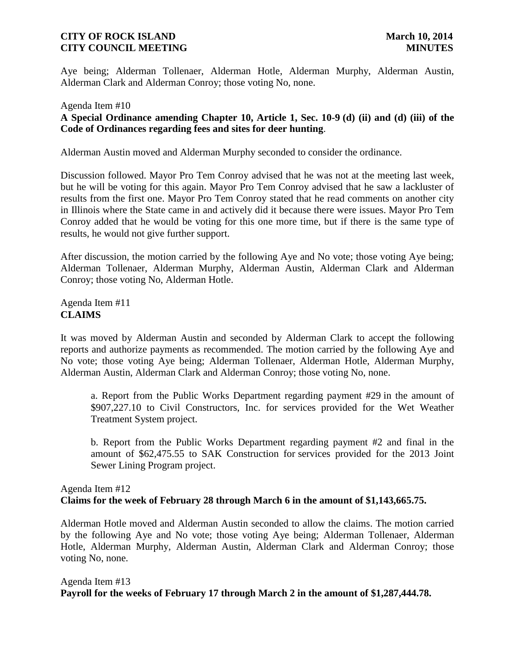Aye being; Alderman Tollenaer, Alderman Hotle, Alderman Murphy, Alderman Austin, Alderman Clark and Alderman Conroy; those voting No, none.

# Agenda Item #10 **A Special Ordinance amending Chapter 10, Article 1, Sec. 10-9 (d) (ii) and (d) (iii) of the Code of Ordinances regarding fees and sites for deer hunting**.

Alderman Austin moved and Alderman Murphy seconded to consider the ordinance.

Discussion followed. Mayor Pro Tem Conroy advised that he was not at the meeting last week, but he will be voting for this again. Mayor Pro Tem Conroy advised that he saw a lackluster of results from the first one. Mayor Pro Tem Conroy stated that he read comments on another city in Illinois where the State came in and actively did it because there were issues. Mayor Pro Tem Conroy added that he would be voting for this one more time, but if there is the same type of results, he would not give further support.

After discussion, the motion carried by the following Aye and No vote; those voting Aye being; Alderman Tollenaer, Alderman Murphy, Alderman Austin, Alderman Clark and Alderman Conroy; those voting No, Alderman Hotle.

Agenda Item #11 **CLAIMS**

It was moved by Alderman Austin and seconded by Alderman Clark to accept the following reports and authorize payments as recommended. The motion carried by the following Aye and No vote; those voting Aye being; Alderman Tollenaer, Alderman Hotle, Alderman Murphy, Alderman Austin, Alderman Clark and Alderman Conroy; those voting No, none.

a. Report from the Public Works Department regarding payment #29 in the amount of \$907,227.10 to Civil Constructors, Inc. for services provided for the Wet Weather Treatment System project.

b. Report from the Public Works Department regarding payment #2 and final in the amount of \$62,475.55 to SAK Construction for services provided for the 2013 Joint Sewer Lining Program project.

# Agenda Item #12 **Claims for the week of February 28 through March 6 in the amount of \$1,143,665.75.**

Alderman Hotle moved and Alderman Austin seconded to allow the claims. The motion carried by the following Aye and No vote; those voting Aye being; Alderman Tollenaer, Alderman Hotle, Alderman Murphy, Alderman Austin, Alderman Clark and Alderman Conroy; those voting No, none.

Agenda Item #13 **Payroll for the weeks of February 17 through March 2 in the amount of \$1,287,444.78.**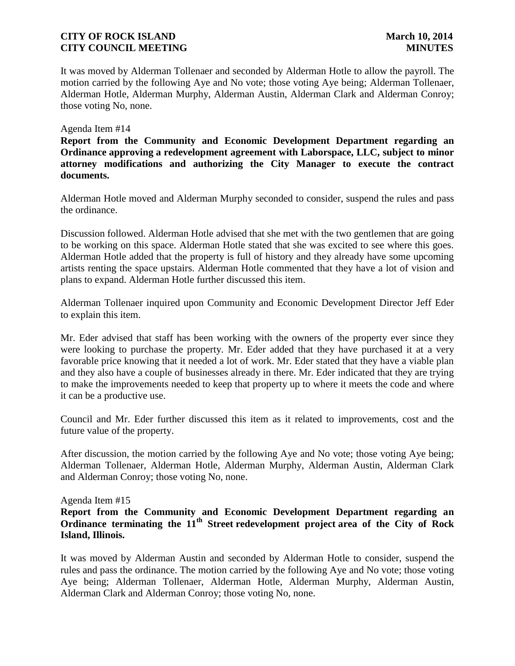It was moved by Alderman Tollenaer and seconded by Alderman Hotle to allow the payroll. The motion carried by the following Aye and No vote; those voting Aye being; Alderman Tollenaer, Alderman Hotle, Alderman Murphy, Alderman Austin, Alderman Clark and Alderman Conroy; those voting No, none.

#### Agenda Item #14

**Report from the Community and Economic Development Department regarding an Ordinance approving a redevelopment agreement with Laborspace, LLC, subject to minor attorney modifications and authorizing the City Manager to execute the contract documents.**

Alderman Hotle moved and Alderman Murphy seconded to consider, suspend the rules and pass the ordinance.

Discussion followed. Alderman Hotle advised that she met with the two gentlemen that are going to be working on this space. Alderman Hotle stated that she was excited to see where this goes. Alderman Hotle added that the property is full of history and they already have some upcoming artists renting the space upstairs. Alderman Hotle commented that they have a lot of vision and plans to expand. Alderman Hotle further discussed this item.

Alderman Tollenaer inquired upon Community and Economic Development Director Jeff Eder to explain this item.

Mr. Eder advised that staff has been working with the owners of the property ever since they were looking to purchase the property. Mr. Eder added that they have purchased it at a very favorable price knowing that it needed a lot of work. Mr. Eder stated that they have a viable plan and they also have a couple of businesses already in there. Mr. Eder indicated that they are trying to make the improvements needed to keep that property up to where it meets the code and where it can be a productive use.

Council and Mr. Eder further discussed this item as it related to improvements, cost and the future value of the property.

After discussion, the motion carried by the following Aye and No vote; those voting Aye being; Alderman Tollenaer, Alderman Hotle, Alderman Murphy, Alderman Austin, Alderman Clark and Alderman Conroy; those voting No, none.

#### Agenda Item #15

# **Report from the Community and Economic Development Department regarding an Ordinance terminating the 11th Street redevelopment project area of the City of Rock Island, Illinois.**

It was moved by Alderman Austin and seconded by Alderman Hotle to consider, suspend the rules and pass the ordinance. The motion carried by the following Aye and No vote; those voting Aye being; Alderman Tollenaer, Alderman Hotle, Alderman Murphy, Alderman Austin, Alderman Clark and Alderman Conroy; those voting No, none.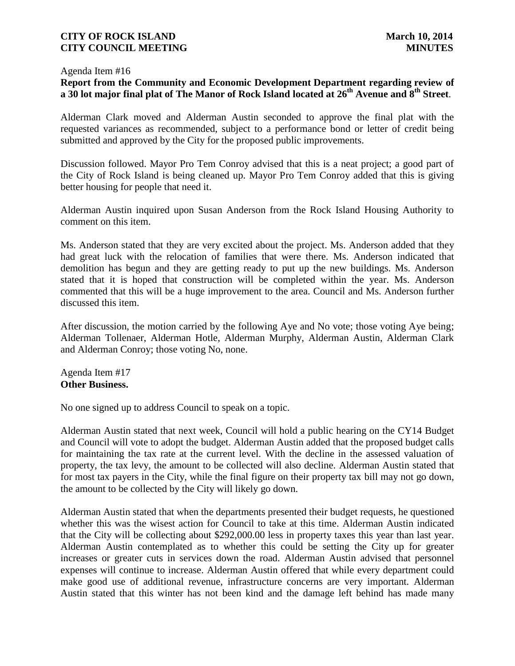#### Agenda Item #16

# **Report from the Community and Economic Development Department regarding review of a 30 lot major final plat of The Manor of Rock Island located at 26th Avenue and 8th Street**.

Alderman Clark moved and Alderman Austin seconded to approve the final plat with the requested variances as recommended, subject to a performance bond or letter of credit being submitted and approved by the City for the proposed public improvements.

Discussion followed. Mayor Pro Tem Conroy advised that this is a neat project; a good part of the City of Rock Island is being cleaned up. Mayor Pro Tem Conroy added that this is giving better housing for people that need it.

Alderman Austin inquired upon Susan Anderson from the Rock Island Housing Authority to comment on this item.

Ms. Anderson stated that they are very excited about the project. Ms. Anderson added that they had great luck with the relocation of families that were there. Ms. Anderson indicated that demolition has begun and they are getting ready to put up the new buildings. Ms. Anderson stated that it is hoped that construction will be completed within the year. Ms. Anderson commented that this will be a huge improvement to the area. Council and Ms. Anderson further discussed this item.

After discussion, the motion carried by the following Aye and No vote; those voting Aye being; Alderman Tollenaer, Alderman Hotle, Alderman Murphy, Alderman Austin, Alderman Clark and Alderman Conroy; those voting No, none.

Agenda Item #17 **Other Business.**

No one signed up to address Council to speak on a topic.

Alderman Austin stated that next week, Council will hold a public hearing on the CY14 Budget and Council will vote to adopt the budget. Alderman Austin added that the proposed budget calls for maintaining the tax rate at the current level. With the decline in the assessed valuation of property, the tax levy, the amount to be collected will also decline. Alderman Austin stated that for most tax payers in the City, while the final figure on their property tax bill may not go down, the amount to be collected by the City will likely go down.

Alderman Austin stated that when the departments presented their budget requests, he questioned whether this was the wisest action for Council to take at this time. Alderman Austin indicated that the City will be collecting about \$292,000.00 less in property taxes this year than last year. Alderman Austin contemplated as to whether this could be setting the City up for greater increases or greater cuts in services down the road. Alderman Austin advised that personnel expenses will continue to increase. Alderman Austin offered that while every department could make good use of additional revenue, infrastructure concerns are very important. Alderman Austin stated that this winter has not been kind and the damage left behind has made many